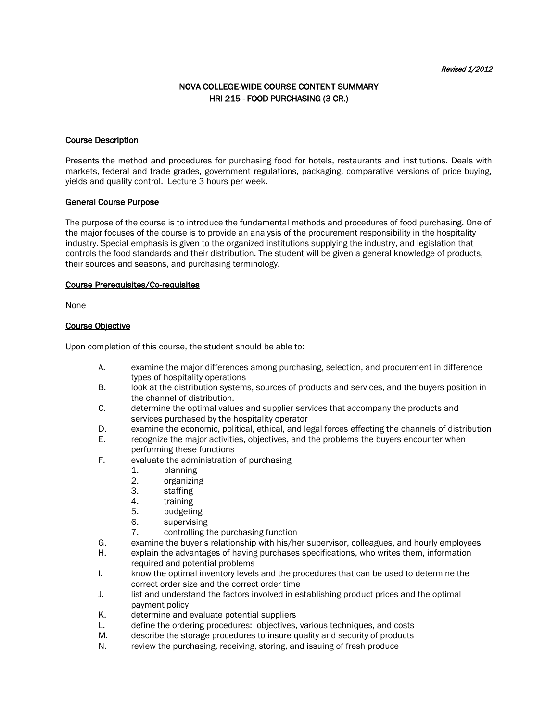# NOVA COLLEGE-WIDE COURSE CONTENT SUMMARY HRI 215 - FOOD PURCHASING (3 CR.)

#### Course Description

Presents the method and procedures for purchasing food for hotels, restaurants and institutions. Deals with markets, federal and trade grades, government regulations, packaging, comparative versions of price buying, yields and quality control. Lecture 3 hours per week.

### General Course Purpose

The purpose of the course is to introduce the fundamental methods and procedures of food purchasing. One of the major focuses of the course is to provide an analysis of the procurement responsibility in the hospitality industry. Special emphasis is given to the organized institutions supplying the industry, and legislation that controls the food standards and their distribution. The student will be given a general knowledge of products, their sources and seasons, and purchasing terminology.

### Course Prerequisites/Co-requisites

None

## Course Objective

Upon completion of this course, the student should be able to:

- A. examine the major differences among purchasing, selection, and procurement in difference types of hospitality operations
- B. look at the distribution systems, sources of products and services, and the buyers position in the channel of distribution.
- C. determine the optimal values and supplier services that accompany the products and services purchased by the hospitality operator
- D. examine the economic, political, ethical, and legal forces effecting the channels of distribution
- E. recognize the major activities, objectives, and the problems the buyers encounter when performing these functions
- F. evaluate the administration of purchasing
	- 1. planning
	- 2. organizing
	-
	- 3. staffing<br>4. training training
	- 5. budgeting
	-
	- 6. supervising<br>7. controlling t controlling the purchasing function
- G. examine the buyer's relationship with his/her supervisor, colleagues, and hourly employees
- H. explain the advantages of having purchases specifications, who writes them, information required and potential problems
- I. know the optimal inventory levels and the procedures that can be used to determine the correct order size and the correct order time
- J. list and understand the factors involved in establishing product prices and the optimal payment policy
- K. determine and evaluate potential suppliers
- L. define the ordering procedures: objectives, various techniques, and costs<br>M. describe the storage procedures to insure quality and security of products
- describe the storage procedures to insure quality and security of products
- N. review the purchasing, receiving, storing, and issuing of fresh produce